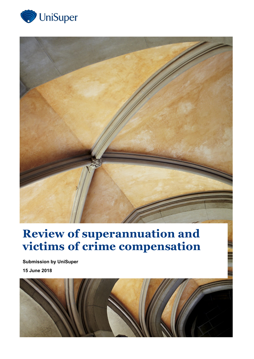



## **Review of superannuation and victims of crime compensation**

**Submission by UniSuper 15 June 2018**

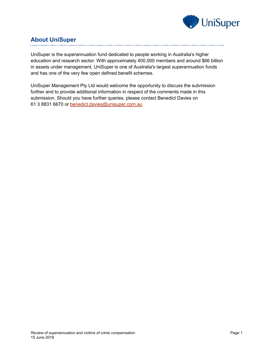

## **About UniSuper**

UniSuper is the superannuation fund dedicated to people working in Australia's higher education and research sector. With approximately 400,000 members and around \$66 billion in assets under management, UniSuper is one of Australia's largest superannuation funds and has one of the very few open defined benefit schemes.

UniSuper Management Pty Ltd would welcome the opportunity to discuss the submission further and to provide additional information in respect of the comments made in this submission. Should you have further queries, please contact Benedict Davies on 61 3 8831 6670 or [benedict.davies@unisuper.com.au](mailto:benedict.davies@unisuper.com.au)